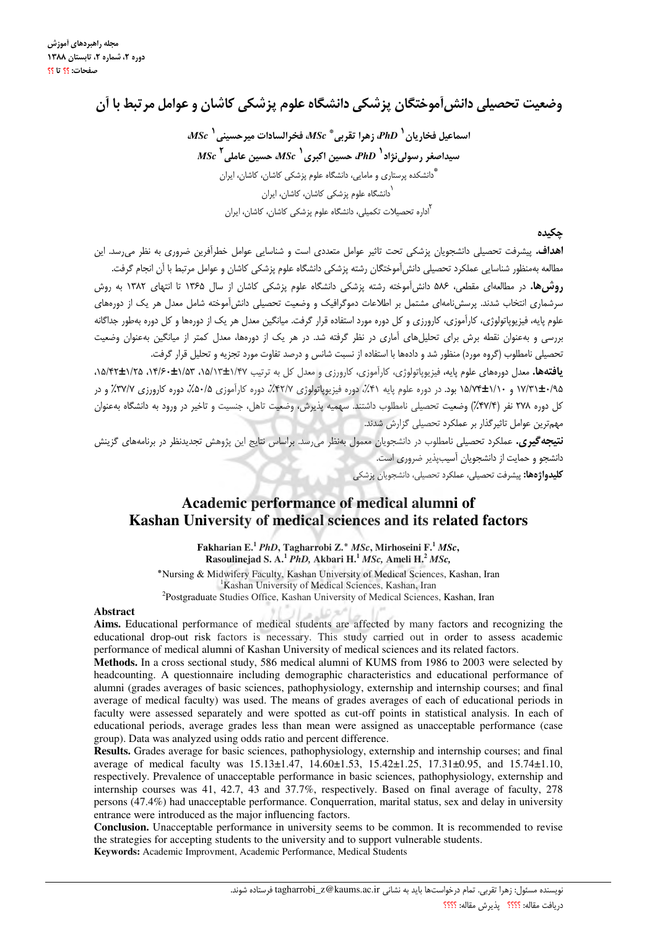## وضعيت تحصيلي دانش آموختگان پزشكي دانشگاه علوم پزشكي كاشان و عوامل مر تبط با آن

 $\overline{MSc}^+$ اسماعيل فخاريان  $PhD^+$  زهرا تقربي $\overline{Sc}^*$  فخرالسادات ميرجسيني  $\overline{Sc}^+$  ${MSc}^{\dagger}$ سیداصغر رسولی $i$ زاد ${PhD}^{\dagger}$  حسین اکبری ${MSc}^{\dagger}$ ، حسین عاملی .<br>\*دانشکده پرستاری و مامایی، دانشگاه علوم پزشکی کاشان، کاشان، ایران ر<br>دانشگاه علوم یزشکی کاشان، کاشان، ایران ے<br>دارہ تحصیلات تکمیلے، دانشگاہ علوم پزشکی کاشان، کاشان، ایران

#### جكىدە

**اهداف.** پیشرفت تحصیلی دانشجویان پزشکی تحت تاثیر عوامل متعددی است و شناسایی عوامل خطرآفرین ضروری به نظر می رسد. این مطالعه بهمنظور شناسایی عملکرد تحصیلی دانش آموختگان رشته یزشکی دانشگاه علوم یزشکی کاشان و عوامل مرتبط با آن انجام گرفت.

**روش ها.** در مطالعهای مقطعی، ۵۸۶ دانش آموخته رشته یزشکی دانشگاه علوم یزشکی کاشان از سال ۱۳۶۵ تا انتهای ۱۳۸۲ به روش سرشماری انتخاب شدند. پرسشiامهای مشتمل بر اطلاعات دموگرافیک و وضعیت تحصیلی دانشآموخته شامل معدل هر یک از دورههای علوم پایه، فیزیوپاتولوژی، کارآموزی، کارورزی و کل دوره مورد استفاده قرار گرفت. میانگین معدل هر یک از دورهها و کل دوره بهطور جداگانه بررسی و بهعنوان نقطه برش برای تحلیلهای آماری در نظر گرفته شد. در هر یک از دورهها، معدل کمتر از میانگین بهعنوان وضعیت تحصیلی نامطلوب (گروه مورد) منظور شد و دادهها با استفاده از نسبت شانس و درصد تفاوت مورد تجزیه و تحلیل قرار گرفت.

یافتهها. معدل دورههای علوم پایه، فیزیوپاتولوژی، کارآموزی، کارورزی و معدل کل به ترتیب ۱/۴۷±۱/۵۲، ۱۵/۴۲±۱/۲۵، ۱۲۵/۴۲±۱۵/۲، ۱۷/۳۱±۰/۹۵ و ۱۰/۷۴±۱/۱۰ بود. در دوره علوم پایه ۴۱٪، دوره فیزیوپاتولوژی ۴۲/۷٪، دوره کارآموزی ۰/۵۰٪، دوره کارورزی ۳۷/۷٪ و در كل دوره ٢٧٨ نفر (٢٧/۴٪) وضعيت تحصيلي نامطلوب داشتند. سهميه يذيرش، وضعيت تاهل، جنسيت و تاخير در ورود به دانشگاه بهعنوان مهمترین عوامل تاثیرگذار بر عملکرد تحصیلی گزارش شدند.

.<br>**نتیجه گیری.** عملکرد تحصیلی نامطلوب در دانشجویان معمول بهنظر می رسد. براساس نتایج این پژوهش تحدیدنظر در برنامههای گزینش دانشجو و حمایت از دانشجویان آسیبپذیر ضروری است.

**كليدواژهها:** پيشرفت تحصيلی، عملكرد تحصيلی، دانشجويان پزشكی

## Academic performance of medical alumni of Kashan University of medical sciences and its related factors

Fakharian E.<sup>1</sup> PhD, Tagharrobi Z.\* MSc, Mirhoseini F.<sup>1</sup> MSc, Rasoulinejad S. A.<sup>1</sup> PhD, Akbari H.<sup>1</sup> MSc, Ameli H.<sup>2</sup> MSc,

\*Nursing & Midwifery Faculty, Kashan University of Medical Sciences, Kashan, Iran <sup>1</sup>Kashan University of Medical Sciences, Kashan, Iran <sup>2</sup>Postgraduate Studies Office, Kashan University of Medical Sciences, Kashan, Iran

#### **Abstract**

Aims. Educational performance of medical students are affected by many factors and recognizing the educational drop-out risk factors is necessary. This study carried out in order to assess academic performance of medical alumni of Kashan University of medical sciences and its related factors.

Lö sv\*

Methods. In a cross sectional study, 586 medical alumni of KUMS from 1986 to 2003 were selected by headcounting. A questionnaire including demographic characteristics and educational performance of alumni (grades averages of basic sciences, pathophysiology, externship and internship courses; and final average of medical faculty) was used. The means of grades averages of each of educational periods in faculty were assessed separately and were spotted as cut-off points in statistical analysis. In each of educational periods, average grades less than mean were assigned as unacceptable performance (case group). Data was analyzed using odds ratio and percent difference.

Results. Grades average for basic sciences, pathophysiology, externship and internship courses; and final average of medical faculty was 15.13±1.47, 14.60±1.53, 15.42±1.25, 17.31±0.95, and 15.74±1.10, respectively. Prevalence of unacceptable performance in basic sciences, pathophysiology, externship and internship courses was 41, 42.7, 43 and 37.7%, respectively. Based on final average of faculty, 278 persons (47.4%) had unacceptable performance. Conquerration, marital status, sex and delay in university entrance were introduced as the major influencing factors.

Conclusion. Unacceptable performance in university seems to be common. It is recommended to revise the strategies for accepting students to the university and to support vulnerable students.

Keywords: Academic Improvment, Academic Performance, Medical Students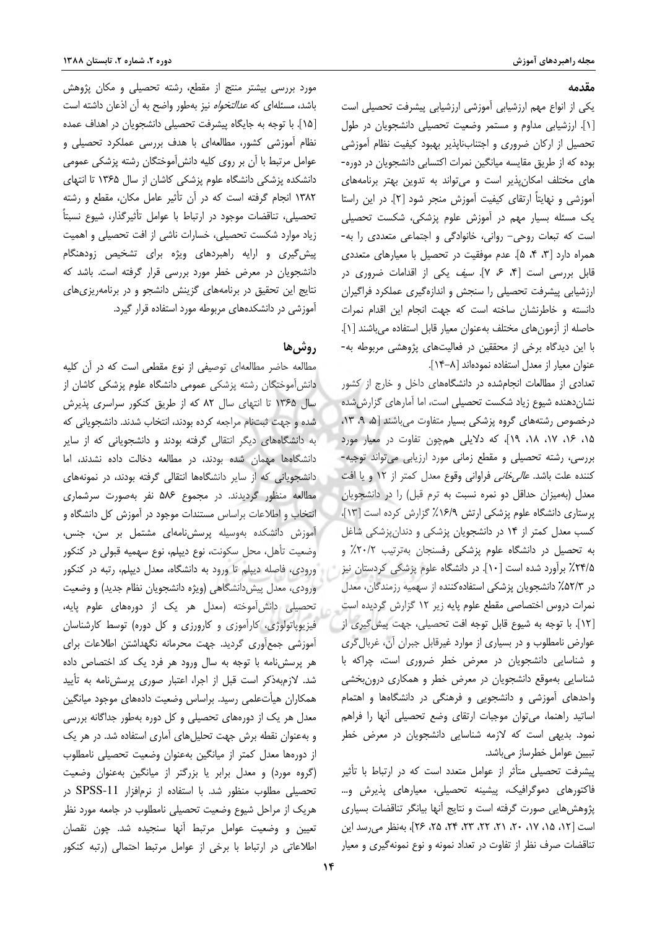#### مقدمه

یکی از انواع مهم ارزشیابی آموزشی ارزشیابی پیشرفت تحصیلی است [۱]. ارزشیابی مداوم و مستمر وضعیت تحصیلی دانشجویان در طول تحصیل از ارکان ضروری و اجتنابناپذیر بهبود کیفیت نظام آموزشی بوده كه از طريق مقايسه ميانگين نمرات اكتسابي دانشجويان در دوره-های مختلف امکان پذیر است و می تواند به تدوین بهتر برنامههای آموزشی و نهایتاً ارتقای کیفیت آموزش منجر شود [۲]. در این راستا یک مسئله بسیار مهم در آموزش علوم پزشکی، شکست تحصیلی است که تبعات روحی- روانی، خانوادگی و اجتماعی متعددی را به-همراه دارد [٣، ۴، ۵]. عدم موفقيت در تحصيل با معيارهاى متعددى قابل بررسی است [۴، ۶، ۷]. *سيف* يكي از اقدامات ضرورى در ارزشیابی پیشرفت تحصیلی را سنجش و اندازهگیری عملکرد فراگیران دانسته و خاطرنشان ساخته است که جهت انجام این اقدام نمرات حاصله از آزمونهای مختلف بهعنوان معیار قابل استفاده میباشند [۱]. با این دیدگاه برخی از محققین در فعالیتهای پژوهشی مربوطه به-عنوان معيار از معدل استفاده نمودهاند [٨-١۴].

تعدادی از مطالعات انجامشده در دانشگاههای داخل و خارج از کشور نشان دهنده شیوع زیاد شکست تحصیلی است، اما آمارهای گزارش شده درخصوص رشتههای گروه پزشکی بسیار متفاوت می باشند [۵، ۹، ۱۳، ۱۵، ۱۶، ۱۷، ۱۸، ۱۹]، که دلایلی همچون تفاوت در معیار مورد بررسی، رشته تحصیلی و مقطع زمانی مورد ارزیابی میتواند توجیه-كننده علت باشد. *عالى خانى* فراوانى وقوع معدل كمتر از ١٢ و يا افت معدل (بهمیزان حداقل دو نمره نسبت به ترم قبل) را در دانشجویان پرستاری دانشگاه علوم پزشکی ارتش ١۶/٩٪ گزارش کرده است [١٣]، کسب معدل کمتر از ۱۴ در دانشجویان پزشکی و دندان پزشکی شاغل به تحصیل در دانشگاه علوم پزشکی رفسنجان بهترتیب ٢٠/٢٪ و ۲۴/۵٪ برآورد شده است [۱۰]. در دانشگاه علوم پزشکی کردستان نیز در ۵۲/۳٪ دانشجویان پزشکی استفاده کننده از سهمیه رزمندگان، معدل نمرات دروس اختصاصى مقطع علوم پايه زير ١٢ گزارش گرديده است [١٢]. با توجه به شیوع قابل توجه افت تحصیلی، جهت پیش گیری از عوارض نامطلوب و در بسیاری از موارد غیرقابل جبران آن، غربال گری و شناسایی دانشجویان در معرض خطر ضروری است، چراکه با شناسایی بهموقع دانشجویان در معرض خطر و همکاری درونبخشی واحدهای آموزشی و دانشجویی و فرهنگی در دانشگاهها و اهتمام اساتيد راهنما، مي¤وان موجبات ارتقاي وضع تحصيلي أنها را فراهم نمود. بدیهی است که لازمه شناسایی دانشجویان در معرض خطر تبيين عوامل خطرساز مىباشد.

پیشرفت تحصیلی متأثر از عوامل متعدد است که در ارتباط با تأثیر فاکتورهای دموگرافیک، پیشینه تحصیلی، معیارهای پذیرش و… پژوهشهایی صورت گرفته است و نتایج آنها بیانگر تناقضات بسیاری است [١٢، ١٥، ١٧، ٢٠، ٢١، ٢٣، ٢٣، ٢٤، ٢٥، ٢۶]، بهنظر مي رسد اين تناقضات صرف نظر از تفاوت در تعداد نمونه و نوع نمونهگیری و معیار

مورد بررسی بیشتر منتج از مقطع، رشته تحصیلی و مکان پژوهش باشد، مسئلهای که *عدالتخواه* نیز بهطور واضح به آن اذعان داشته است [۱۵]. با توجه به جایگاه پیشرفت تحصیلی دانشجویان در اهداف عمده نظام آموزشی کشور، مطالعهای با هدف بررسی عملکرد تحصیلی و عوامل مرتبط با آن بر روى كليه دانش[موختگان رشته پزشكى عمومى دانشکده پزشکی دانشگاه علوم پزشکی کاشان از سال ۱۳۶۵ تا انتهای ١٣٨٢ انجام گرفته است كه در آن تأثير عامل مكان، مقطع و رشته تحصیلی، تناقضات موجود در ارتباط با عوامل تأثیرگذار، شیوع نسبتاً زیاد موارد شکست تحصیلی، خسارات ناشی از افت تحصیلی و اهمیت پیش گیری و ارایه راهبردهای ویژه برای تشخیص زودهنگام دانشجویان در معرض خطر مورد بررسی قرار گرفته است. باشد که نتایج این تحقیق در برنامههای گزینش دانشجو و در برنامهریزی های آموزشی در دانشکدههای مربوطه مورد استفاده قرار گیرد.

#### **,وشي ها**

مطالعه حاضر مطالعهای توصیفی از نوع مقطعی است که در آن کلیه دانش آموختگان رشته پزشکی عمومی دانشگاه علوم پزشکی کاشان از سال ۱۳۶۵ تا انتهای سال ۸۲ که از طریق کنکور سراسری پذیرش شده و جهت ثبتنام مراجعه كرده بودند، انتخاب شدند. دانشجوياني كه به دانشگاههای دیگر انتقالی گرفته بودند و دانشجویانی که از سایر دانشگاهها مهمان شده بودند، در مطالعه دخالت داده نشدند، اما دانشجویانی که از سایر دانشگاهها انتقالی گرفته بودند، در نمونههای مطالعه منظور گردیدند. در مجموع ۵۸۶ نفر بهصورت سرشماری انتخاب و اطلاعات براساس مستندات موجود در آموزش کل دانشگاه و آموزش دانشکده بهوسیله پرسش نامهای مشتمل بر سن، جنس، وضعیت تأهل، محل سکونت، نوع دیپلم، نوع سهمیه قبولی در کنکور ورودی، فاصله دیپلم تا ورود به دانشگاه، معدل دیپلم، رتبه در کنکور ورودی، معدل پیش دانشگاهی (ویژه دانشجویان نظام جدید) و وضعیت تحصیلی دانش آموخته (معدل هر یک از دورههای علوم پایه، فیزیوپاتولوژی، کارآموزی و کارورزی و کل دوره) توسط کارشناسان آموزشی جمع آوری گردید. جهت محرمانه نگهداشتن اطلاعات برای هر پرسشنامه با توجه به سال ورود هر فرد یک کد اختصاص داده شد. لازمبهذکر است قبل از اجرا، اعتبار صوری پرسشiامه به تأیید همكاران هيأتعلمي رسيد. براساس وضعيت دادههاى موجود ميانگين معدل هر یک از دورههای تحصیلی و کل دوره بهطور جداگانه بررسی و به عنوان نقطه برش جهت تحلیل های آماری استفاده شد. در هر یک از دورهها معدل كمتر از ميانگين بهعنوان وضعيت تحصيلي نامطلوب (گروه مورد) و معدل برابر یا بزرگتر از میانگین بهعنوان وضعیت تحصیلی مطلوب منظور شد. با استفاده از نرمافزار SPSS-11 در هریک از مراحل شیوع وضعیت تحصیلی نامطلوب در جامعه مورد نظر تعيين و وضعيت عوامل مرتبط آنها سنجيده شد. چون نقصان اطلاعاتی در ارتباط با برخی از عوامل مرتبط احتمالی (رتبه کنکور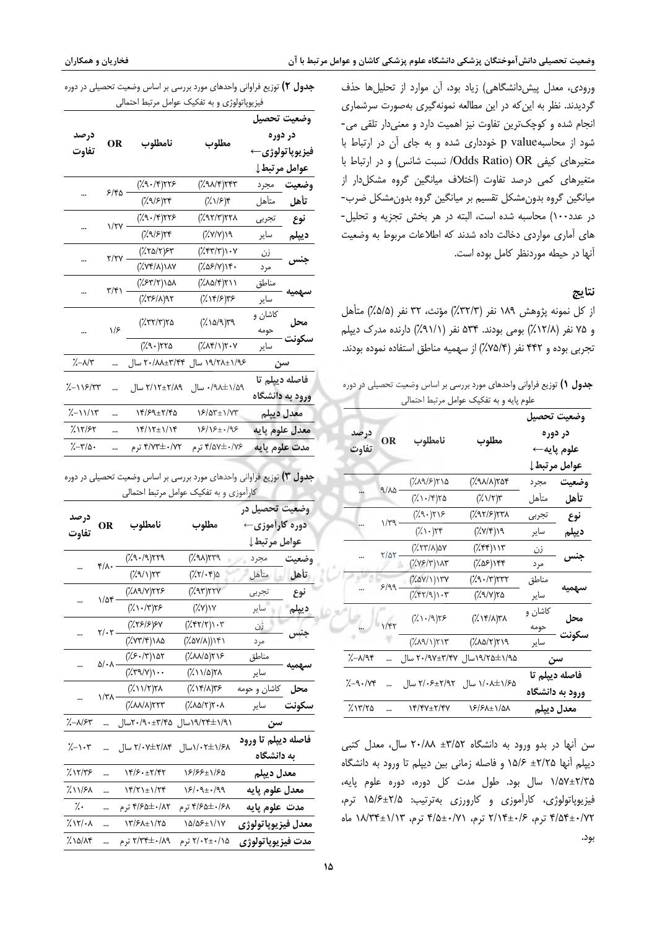ورودی، معدل پیش دانشگاهی) زیاد بود، آن موارد از تحلیلها حذف گردیدند. نظر به این که در این مطالعه نمونهگیری بهصورت سرشماری انجام شده و کوچکترین تفاوت نیز اهمیت دارد و معنیدار تلقی می-شود از محاسبهp value خودداری شده و به جای آن در ارتباط با متغیرهای کیفی Odds Ratio) OR/ نسبت شانس) و در ارتباط با متغیرهای کمی درصد تفاوت (اختلاف میانگین گروه مشکلدار از میانگین گروه بدون مشکل تقسیم بر میانگین گروه بدون مشکل ضرب-در عدد١٠٠) محاسبه شده است، البته در هر بخش تجزيه و تحليل-های آماری مواردی دخالت داده شدند که اطلاعات مربوط به وضعیت آنها در حیطه موردنظر کامل بوده است.

#### نتايج

از كل نمونه يژوهش ١٨٩ نفر (٣٢/٣٪) مؤنث، ٣٢ نفر (۵/۵٪) متأهل و ۷۵ نفر (۱۲/۸٪) بومی بودند. ۵۳۴ نفر (۹۱/۱٪) دارنده مدرک دیپلم تجربي بوده و ۴۴۲ نفر (۷۵/۴٪) از سهميه مناطق استفاده نموده بودند.

جدول ۱) توزیع فراوانی واحدهای مورد بررسی بر اساس وضعیت تحصیلی در دوره علوم بابه و به تفکیک عوامل مرتبط احتمال

|                |                   | . سو سر سر ب                                                                      |                                       |                       |                |
|----------------|-------------------|-----------------------------------------------------------------------------------|---------------------------------------|-----------------------|----------------|
|                |                   |                                                                                   |                                       |                       | وضعيت تحصيل    |
| درصد           | OR                | نامطلوب                                                                           | مطلوب                                 | در دوره<br>علوم يايه← |                |
| تفآوت          |                   |                                                                                   |                                       |                       |                |
|                |                   |                                                                                   |                                       |                       | عوامل مرتبط إ  |
|                | $9/\lambda\Delta$ | (7.19/5)710                                                                       | ۲۵۴) <sub>۱</sub>                     | مجرد                  | وضعيت          |
|                |                   | ۲۵ (۲۰۱۴)                                                                         | $(\lambda \vee \wedge \vee \vee \vee$ | متأهل                 | تأهل           |
|                | ۷/۳۹              | (79.7)                                                                            | ۲۳۸(۲۱۶٪)                             | تجربى                 | نوع            |
|                |                   | $(\lambda \setminus \cdot)$ ۲۴                                                    | $(\frac{7}{7})(\frac{7}{7})$          | ساير                  | ديپلم          |
|                | ۲/۵۲.             | ۷۵(۸/۲۳٪)                                                                         | ۱۱۳ (۲۴۴٪)                            | زن                    | جنس            |
|                |                   | ۱۸۳(۲٫۷۶)                                                                         | ۲۴۴ (۲۵۶)                             | مرد                   |                |
|                | $8/99$ .          | $(\lambda \Delta V/\lambda)$                                                      | $(79.77)$ ۲۳۲                         | مناطق                 |                |
|                |                   | $(\mathcal{K}(\mathcal{G}) \setminus \mathcal{K}(\mathcal{G})) \cdot \mathcal{K}$ | ۲۵ (۷/۹٪)                             | ساير                  | سهميه          |
|                | ۱/۴۲              | ۲۶(۱۰/۹)                                                                          | ۳۸(۱۴/۸٪)                             | کاشان و               | محل            |
|                |                   |                                                                                   |                                       | حومه                  |                |
|                |                   | ۲۱۳ (۱/۶۸۹)                                                                       | ۲۱۹ (۱۵۸٪)                            | ساير                  | سكونت          |
| <u>%-a/</u> q۴ |                   | ۲۰/۹۷±۳/۴۷ سال                                                                    | ۱۹۵۵/۲۵±۱۹ <sub>/۹۵</sub> سال         | سن                    |                |
| 7.-9۰/۷۴       |                   |                                                                                   | ۱/۰۸±۱/۶۵ سال ۲/۰۶±۲/۰۶ سال           |                       | فاصله ديپلم تا |
|                |                   |                                                                                   |                                       | ورود به دانشگاه       |                |
| ۱۳/۲۵٪         |                   | 14/47±7/47                                                                        | 16/6777/97                            |                       | معدل ديپلم     |

سن آنها در بدو ورود به دانشگاه ۳/۵۲± ۲۰/۸۸ سال، معدل کتبی دیپلم آنها ۲/۲۵± ۱۵/۶ و فاصله زمانی بین دیپلم تا ورود به دانشگاه ۱/۵۷±۲/۳۵ سال بود. طول مدت کل دوره، دوره علوم پایه، فیزیوپاتولوژی، کارآموزی و کارورزی بهترتیب: ۱۵/۶±۱۵/ ترم، ۴/۵۴±۰/۷۲ ترم، ۲/۱۴±۰/۲ ترم، ۲/۱۴ ترم، ۴/۵±۰/۷۲ ترم، ۱۸/۳۴±۱/۱۳ بود.

| بعدول ۲) توزیع فراوانی واحدهای مورد بررسی بر اساس وضعیت تحصیلی در دوره |  |
|------------------------------------------------------------------------|--|
| فیزیوپاتولوژی و به تفکیک عوامل مرتبط احتمالی                           |  |

|                                                                    | OR   | نامطلوب                   |                                                                                   | وضعيت تحصيل                                |                |
|--------------------------------------------------------------------|------|---------------------------|-----------------------------------------------------------------------------------|--------------------------------------------|----------------|
| درصد                                                               |      |                           | مطلوب                                                                             | در دوره<br>فيزيوپاتولوژي←<br>عوامل مرتبط ل |                |
| تفاوت                                                              |      |                           |                                                                                   |                                            |                |
|                                                                    |      |                           |                                                                                   |                                            |                |
|                                                                    | ۶۱۴۵ | $(79.78)$ ۲۲۶             | ۶۴۳(۳۸/۴)                                                                         | مجرد                                       | وضعيت          |
|                                                                    |      | ۲۴(۱۶٪))                  | ۴(۱۱۶٪)                                                                           | متأهل                                      | تأهل           |
|                                                                    | ۱/۲۷ | (79.78)                   | ۲۲۸(۳)۲۲۸)                                                                        | تجربى                                      | نوع            |
|                                                                    |      | (7.979)                   | ۱۹ (۷/۷٪)                                                                         | ساير                                       | ديپلم          |
|                                                                    | ۲/۲۷ | ۶۳(۲۵/۲٪)                 | $(\mathcal{X}\mathfrak{r}\mathfrak{r}/\mathfrak{r})\mathfrak{r}\cdot\mathfrak{r}$ | زن                                         | جنس            |
|                                                                    |      | ۱۸۷(۲/۷۴)                 | ۰۴(۵۶/۷)                                                                          | مرد                                        |                |
|                                                                    | ۳/۴۱ | ۱۵۸ (۲/۳۶۳)               | ۲۱۱(۸۵٪)۲                                                                         | مناطق                                      |                |
|                                                                    |      | (75/15)                   | ۱۴/۶)۳۶)                                                                          | ساير                                       | سهميه          |
|                                                                    | ۱۱۶  | ۳۹ (۱۵/۹٪)<br>۲۵ (۲۳۲/۳٪) |                                                                                   | کاشان و                                    | محل            |
|                                                                    |      |                           |                                                                                   | حومه                                       |                |
|                                                                    |      | ۲۲۵ (۹۰٪)                 | $(\lambda \wedge \uparrow \wedge) \uparrow \cdot \vee$                            | ساير                                       | سكونت          |
| $\frac{1}{2}-\lambda/\tau$                                         |      | ۲۰/۸۸±۳/۴۴ سال            | ۱/۹۶±۱/۹۶ سال                                                                     | سن                                         |                |
|                                                                    |      | ۲/۱۲±۲/۸۹ سال             | ۱/۵۹±۰/۹۸ سال                                                                     |                                            | فاصله ديپلم تا |
| $\frac{2}{\sqrt{2}}$ / $\frac{2}{\sqrt{2}}$ / $\frac{2}{\sqrt{2}}$ |      |                           |                                                                                   | ورود به دانشگاه                            |                |
| $\frac{1}{2}-11/11$                                                |      | 1۴/۶۹±۲/۴۵                | ۱۶/۵۳±۱/۷۳                                                                        | معدل ديپلم                                 |                |
| $X$ $Y$ $/$ $5Y$                                                   |      | ۱۴/۱۲±۱/۱۴                | ۱۶/۱۶±۰/۹۶                                                                        |                                            | معدل علوم يايه |
| $\frac{1}{2}-\frac{1}{2}$                                          |      | ۴/۷۳±۰/۷۲ ترم             | ۴/۵۷±۰/۷۶ ترم                                                                     |                                            | مدت علوم يايه  |
|                                                                    |      |                           |                                                                                   |                                            |                |

| <b>جدول ۳)</b> توزیع فراوانی واحدهای مورد بررسی بر اساس وضعیت تحصیلی در دوره |  |
|------------------------------------------------------------------------------|--|
| کارآموزی و به تفکیک عوامل مرتبط احتمالی                                      |  |

| درصد<br>تفاوت       |                            | نامطلوب                                                                                                                                                                                | مطلوب                                                                             | وضعیت تحصیل در<br>دوره کاراًموزی←<br>عوامل مرتبط إ |       |
|---------------------|----------------------------|----------------------------------------------------------------------------------------------------------------------------------------------------------------------------------------|-----------------------------------------------------------------------------------|----------------------------------------------------|-------|
|                     |                            |                                                                                                                                                                                        | ۳۳۹ (۹۸٪)                                                                         | مجرد                                               | وضعيت |
|                     |                            | $\qquad \qquad \mathfrak{f}/\lambda \cdot \frac{(\rlap/\lambda \cdot \mathfrak{A})\mathfrak{f}\mathfrak{f}\mathfrak{A}}{(\rlap/\lambda \cdot \mathfrak{A})\mathfrak{f}\mathfrak{f}^*}$ | $(\mathcal{X}\mathcal{Y}\mathcal{Y}\mathcal{Y})$ ۵                                | متأهل                                              | تأهل  |
|                     | $1/\Delta f$               | $(\lambda \mathcal{A}(\mathcal{V}))$                                                                                                                                                   | ۲۲۷(۹۳٪)                                                                          | تجربى                                              | نوع   |
|                     |                            | $(\lambda \setminus \neg \wedge \neg)$ ۲۶                                                                                                                                              | $(\lambda \lambda)(\lambda \lambda)$                                              | ساير                                               | ديپلم |
|                     | $\gamma/\cdot \gamma$ –    | ۶۷(۱۶۶۶)                                                                                                                                                                               | $(\mathcal{X}\mathfrak{f}\mathfrak{f}/\mathfrak{f})\mathfrak{f}\cdot\mathfrak{r}$ | زن                                                 |       |
|                     |                            | ۱۸۵(۲/۲۳/۴)                                                                                                                                                                            | ۲۴۱((۲٬۵۷/۸)                                                                      | مرد                                                | جنس   |
|                     | $\Delta/\cdot \Lambda$ –   | $(\frac{1}{2}(\frac{1}{2}+\frac{1}{2})\sqrt{2})$                                                                                                                                       | ۲۱۶(۱۸۸۵٪)                                                                        | مناطق                                              | سهميه |
|                     |                            | $(\lambda \mathbf{r} \mathbf{q}/\mathbf{v}) \cdot \cdot$                                                                                                                               | ۲۸(۱۱/۵)                                                                          | ساير                                               |       |
|                     |                            | $(\frac{1}{2})\frac{1}{2}$                                                                                                                                                             | ۱۴/۸)۳۶)                                                                          | <b>ححل گاشان و حومه</b>                            |       |
|                     | $\ldots$ $\sqrt{7\lambda}$ | $(\lambda \lambda \lambda / \lambda)$ ۲۲۳                                                                                                                                              | ۲۰۸(۲۵/۲)                                                                         | ساير                                               | سكونت |
| ۳۶/۱۶–٪             | $\cdots$                   | ۲۰/۹۰±۳/۴۵سال                                                                                                                                                                          | ۱/۹/۲۴±۱/۹۱سال                                                                    | سن                                                 |       |
| $\lambda$ -1.۳      |                            | ۰۲±۱/۶۸ سال ۲/۰۷±۲/۸۴ سال                                                                                                                                                              |                                                                                   | فاصله ديپلم تا ورود<br>به دانشگاه                  |       |
| ۱۲/۳۶٪              |                            | ۱۴/۶۰±۲/۴۲                                                                                                                                                                             | 1 <i>8/88±1/8</i> ۵                                                               | معدل ديپلم                                         |       |
| $\frac{1}{2}$ 11/۶۸ |                            | $\frac{18}{17}$                                                                                                                                                                        | ۱۶/۰۹±۰/۹۹                                                                        | معدل علوم يايه                                     |       |
| $\gamma$ .          |                            | ۴/۶۵±۰/۸۲ ترم                                                                                                                                                                          | ۴/۶۵±۰/۶۸ ترم                                                                     | مدت علوم پایه                                      |       |
| $\lambda$ ۱۲/۰۸     |                            | ۱۳/۶۸±۱/۲۵                                                                                                                                                                             | ۱۵/۵۶±۱/۱۷                                                                        | معدل فيزيوپاتولوژي                                 |       |
| ۱۵/۸۴٪              |                            | ۲/۳۴±۰/۸۹ ترم                                                                                                                                                                          | ۲/۰۲±۰/۱۵ ترم                                                                     | مدت فيزيوپاتولوژى                                  |       |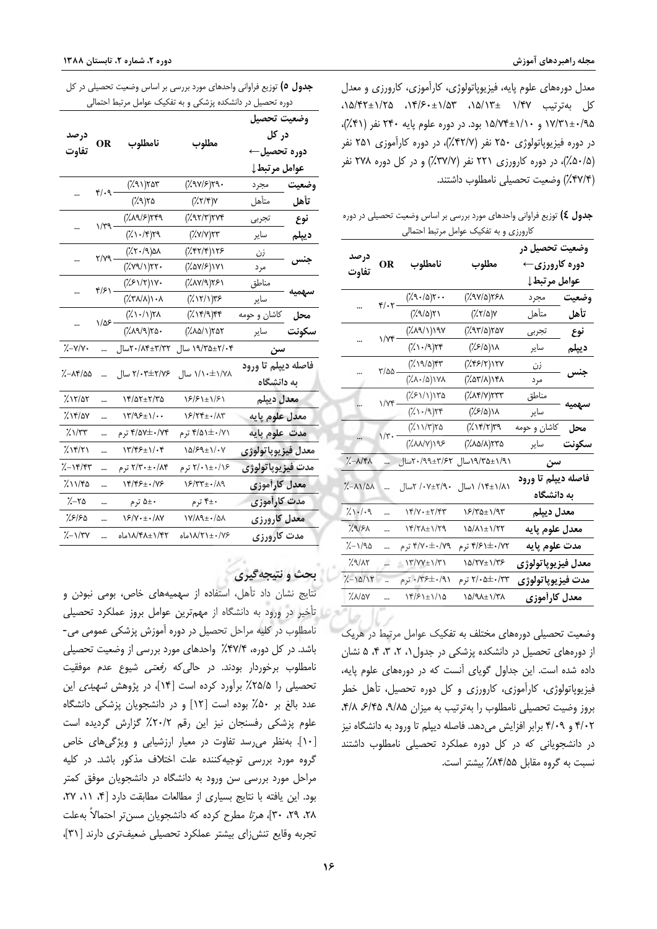معدل دورههای علوم پایه، فیزیوپاتولوژی، کارآموزی، کارورزی و معدل کل بهترتیب ۱/۴۷ ±۱/۵۳، ۱۵/۲+۱/۶۰، ۱۵/۴۲+۱/۲۵، ۱۷/۳۱±۰/۹۵ و ۱۵/۷۴±۱/۱۰ بود. در دوره علوم پایه ۲۴۰ نفر (۴۱٪)، در دوره فيزيوياتولوژي ۲۵۰ نفر (۴۲/۷٪)، در دوره كارآموزي ۲۵۱ نفر (۵۰/۵٪)، در دوره کارورزی ۲۲۱ نفر (۳۷/۷٪) و در کل دوره ۲۷۸ نفر (۲۷/۴٪) وضعیت تحصیلی نامطلوب داشتند.

جدول £) توزیع فراوانی واحدهای مورد بررسی بر اساس وضعیت تحصیلی در دوره كارورزي وبه تفكيك عوامل مرتبط احتمالي

| <mark>درصد</mark><br>تفاوت                   |                                   | نامطلوب                                                                                                                     | مطلوب          | وضعیت تحصیل در<br>دوره کارورزی←<br>عوامل مرتبط↓ |       |
|----------------------------------------------|-----------------------------------|-----------------------------------------------------------------------------------------------------------------------------|----------------|-------------------------------------------------|-------|
|                                              |                                   | $(\lambda^q \cdot \Delta)$ ۲۰۰                                                                                              | ۲۶۸(۵/۷۶٪)     | مجرد                                            | وضعيت |
|                                              | $\mathcal{F}/\cdot \mathcal{F}$ – | ۲۱(۱۸٪)                                                                                                                     | ۷(۲۱۵٪)        | متأهل                                           | تأهل  |
|                                              | $\sqrt{v}$                        | ۱۹۷(۱)۱۹۷)                                                                                                                  | ۲۵۷(۲۱۵٪)      | تجر بے ،                                        | نوع   |
|                                              |                                   | (7.1.4)                                                                                                                     | ۱۸(۱۶/۵٪)      | ساير                                            | ديپلم |
|                                              | $\frac{8}{2}$                     | $(\lambda \vee \alpha)\circ \gamma$                                                                                         | ۲۷(۲/۲۶٪)      | زن                                              |       |
|                                              |                                   | $(\lambda \wedge \lambda)(\lambda)$                                                                                         | ۱۴۸(۱۸/۲۵٪)    | مرد                                             | جنس   |
|                                              | $1/Yf -$                          | ۱۳۵(۱/۱۶۶۱)                                                                                                                 | ۲۳۳(۷)۲۳۳      | مناطق                                           |       |
|                                              |                                   | $(\lambda \setminus \{ \lambda \})$                                                                                         | ۱۸(۲/۶/۵)      | ساير                                            | سهميه |
|                                              |                                   | $(\frac{1}{2})\sqrt{7})$ 70                                                                                                 | ۳۹ (۱۴/۲)۳۹    | كاشان و حومه                                    | محل   |
|                                              | $1/\tilde{r}$ -                   | ۱۹۶(۷۸۸٪)                                                                                                                   | (۱۸۵/۸)۲۳۵     | ساير                                            | سكونت |
| $\lambda - \lambda/\kappa\lambda$            |                                   | ۲۰/۹۹±۳/۶۲سال                                                                                                               | ۱/۹/۲۵±۱/۹۱سال | سن                                              |       |
| $\lambda - \lambda \lambda / \omega \lambda$ |                                   | ۰۷±۲/۹۰ کسال                                                                                                                | ۱/۸۱±۱/۸ ۱سال  | فاصله ديپلم تا ورود<br>به دانشگاه               |       |
| $\frac{1}{2}$                                |                                   |                                                                                                                             | ۱۶/۳۵±۱/۹۳     | معدل ديپلم                                      |       |
| $\frac{1}{2}$                                |                                   | $\frac{1}{2}$                                                                                                               | ۱۵/۸۱±۱/۲۲     | معدل علوم يايه                                  |       |
| $\frac{1}{2}-1/9$ ۵                          |                                   | ۴/۷۰±۰/۷۹ ترم                                                                                                               | ۴/۶۱±۰/۷۲ ترم  | مدت علوم پايه                                   |       |
| $\frac{1}{2}$ 9/12                           |                                   | $\ensuremath{\mathcal{N}}/\ensuremath{\mathcal{N}}\xspace\to\ensuremath{\mathcal{N}}\xspace\ensuremath{\mathcal{N}}\xspace$ | ۱۵/۲۷±۱/۳۶     | معدل فيزيوپاتولوژى                              |       |
| $\frac{1}{2}-10/11$                          |                                   | ۰/۳۶±۰/۹۱ ترم                                                                                                               | ۲/۰۵±۰/۳۳ ترم  | مدت فيزيوپاتولوژي                               |       |
| %\/ay                                        |                                   | 14/21=1/10                                                                                                                  | ۱۵/۹۸±۱/۳۸     | معدل كارأموزى                                   |       |

وضعیت تحصیلی دورههای مختلف به تفکیک عوامل مرتبط در هریک از دورههای تحصیل در دانشکده پزشکی در جدول ۰، ۲، ۳، ۴، ۵ نشان داده شده است. این جداول گویای آنست که در دورههای علوم پایه، فیزیوپاتولوژی، کارآموزی، کارورزی و کل دوره تحصیل، تأهل خطر بروز وضيت تحصيلي نامطلوب را بهترتيب به ميزان ٩/٨٥، ٣/٨، ٣/٨، ۴/۰۲ و ۴/۰۹ برابر افزایش میدهد. فاصله دیپلم تا ورود به دانشگاه نیز در دانشجویانی که در کل دوره عملکرد تحصیلی نامطلوب داشتند نسبت به گروه مقابل ۸۴/۵۵٪ بیشتر است.

**جدول ٥)** توزیع فراوانی واحدهای مورد بررسی بر اساس وضعیت تحصیلی در کل دوره تحصیل در دانشکده پزشکی و به تفکیک عوامل مرتبط احتمالی

|                                           |                     | نامطلوب                              | مطلوب                           | وضعيت تحصيل         |                     |
|-------------------------------------------|---------------------|--------------------------------------|---------------------------------|---------------------|---------------------|
| درصد<br>تفاوت                             |                     |                                      |                                 | در کل               |                     |
|                                           |                     |                                      |                                 | دوره تحصيل←         |                     |
|                                           |                     |                                      |                                 | عوامل مرتبط↓        |                     |
|                                           | $f(\cdot)$          | ۲۵۳ (۹۱٪)                            | ۳۹۰(۱۶/۶۹۰٪)                    | <b>وضعيت مجرد</b>   |                     |
|                                           |                     | ۲۵ (۲۸٪)                             | $(\frac{7}{7})^{\gamma}$        | متأهل               | تأهل                |
|                                           | $\gamma/\gamma$     | ٢۴٩/۶)٢۴٩٪)                          | ۲۷۴(۳)۲۷۴)                      | تجربي               | نوع                 |
|                                           |                     | $(\lambda \setminus \mathcal{S})$ ۲۹ | $(\frac{7}{2}V)(V)(Y)$          | ساير                | ديپلم               |
|                                           | ۲/۷۹ -              | ۸۵(۶۰/۹٪)                            | ۲۶۲/۴)۱۲۶)                      | <u>زن</u>           |                     |
|                                           |                     | ۲۲۰(۱)۲۲۰)                           | ۱۷۱(۱۷۵٪)                       | مرد                 | جنس                 |
|                                           | $f/\mathcal{F}$ ) – | ۱۷۰(۱۲/۲٪)                           | ۲۶۱(۱۷۸٪)                       | مناطق               | سهميه               |
|                                           |                     | ۰۸/۸۱/۱۰۸)                           | ۱۳۶(۱۲/۱)۳۶                     | ساير                |                     |
|                                           | $1/\Delta F$ –      | $(\lambda \cdot \wedge \lambda)$     | ۴۴(۹)۲۴)                        | كاشان و حومه        | $\overline{\ }$ محل |
|                                           |                     | ۲۵۰(۹/۹۸٪)                           | ۲۵۲(۱)۲۵۲٪)                     | ساير                | سكونت               |
| ۷۰/۷−٪/                                   |                     | ۲۰/۸۴±۳/۳۲سال                        | ۱۹/۳۵±۲/۰۴ سال                  | سن                  |                     |
| %–^r/00                                   |                     | ۲/۰۳±۲/۷۶ سال                        |                                 | فاصله ديپلم تا ورود |                     |
|                                           |                     |                                      | ۱/۱۰±۱/۷۸ سال                   | به دانشگاه          |                     |
| $\frac{1}{2}$ 12/22                       |                     | ۱۴/۵۲±۲/۳۵                           | ۱۶/۶۱±۱/۶۱                      | معدل ديپلم          |                     |
| $\lambda$ 14/07                           |                     | $\frac{1}{\sqrt{2}}$                 | $\S$ /۲۴ $\pm$ $\cdot$ /۸۳      | معدل علوم پايه      |                     |
| $\frac{1}{2}\frac{1}{\sqrt{2}}$           |                     | ۴/۵۷±۰/۷۴ ترم                        | ۴/۵۱±۰/۷۱ ترم                   | مدت علوم پایه       |                     |
| $\frac{1}{2}$                             |                     | $\frac{1}{\sqrt{2}}$                 | $\lambda \Delta / 89 \pm 1 / 1$ | معدل فيزيوپاتولوژي  |                     |
| $\frac{1}{2}-15/87$                       |                     | ۲/۳۰±۰/۸۴ ترم                        | ۲/۰±۰/۱۶ ترم                    | مدت فيزيوپاتولوژي   |                     |
| ۱۱/۴۵٪                                    |                     | ۱۴/۴۶±۰/۷۶                           | ۱۶/۳۳±۰/۸۹                      | معدل كارأموزى       |                     |
| $\frac{1}{2}-\frac{1}{2}$                 |                     | ∗±۵ ترم                              | ۴±۰ ترم                         | مدت کارآموزی        |                     |
| ۶۱۶۵٪                                     |                     | ۱۶/۷۰±۰/۸۷                           | ۱۷/۸۹±۰/۵۸                      | معدل کارورزی        |                     |
| $\frac{1}{\sqrt{2}}$ $\frac{1}{\sqrt{2}}$ |                     | ۱/۴۲±۱/۴۸ماه                         | ۱۸/۲۱±۰/۷۶ماه                   | مدت کارورزی         |                     |

### و نتيجه گيري

نتایج نشان داد تأهل، استفاده از سهمیههای خاص، بومی نبودن و تأخیر در ورود به دانشگاه از مهمترین عوامل بروز عملکرد تحصیلی نامطلوب در کلیه مراحل تحصیل در دوره آموزش پزشکی عمومی می-باشد. در کل دوره، ۴۷/۴٪ واحدهای مورد بررسی از وضعیت تحصیلی نامطلوب برخوردار بودند. در حال*ی که رفعتی* شیوع عدم موفقیت تحصیلی را ۲۵/۵٪ برآورد کرده است [۱۴]، در پژوهش *شهیدی* این عدد بالغ بر ۵۰٪ بوده است [۱۲] و در دانشجویان پزشکی دانشگاه علوم پزشكى رفسنجان نيز اين رقم ٢٠/٢٪ گزارش گرديده است [۱۰]. بهنظر می رسد تفاوت در معیار ارزشیابی و ویژگیهای خاص گروه مورد بررسی توجیهکننده علت اختلاف مذکور باشد. در کلیه مراحل مورد بررسی سن ورود به دانشگاه در دانشجویان موفق کمتر بود. این یافته با نتایج بسیاری از مطالعات مطابقت دارد [۴، ١١، ٢٧، ۲۸، ۲۹، ۳۰]، *هرتا* مطرح کرده که دانشجویان مسن تر احتمالاً به علت تجربه وقايع تنش زاى بيشتر عملكرد تحصيلى ضعيف ترى دارند [٣١]،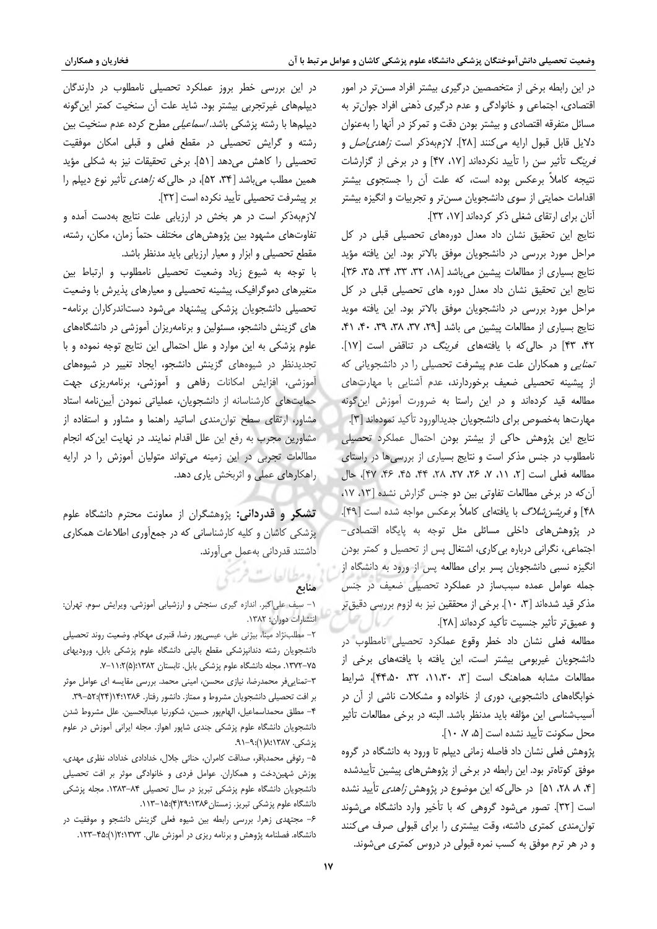در این رابطه برخی از متخصصین درگیری بیشتر افراد مسنتر در امور اقتصادی، اجتماعی و خانوادگی و عدم درگیری ذهنی افراد جوانتر به مسائل متفرقه اقتصادى و بيشتر بودن دقت و تمركز در أنها را بهعنوان دلايل قابل قبول ارايه مى كنند [٢٨]. لازمبهذكر است *زاهدى اصل* و قر*ینگ* تأثیر سن را تأیید نکردهاند [۱۷، ۴۷] و در برخی از گزارشات نتیجه کاملاً برعکس بوده است، که علت آن را جستجوی بیشتر اقدامات حمایتی از سوی دانشجویان مسنتر و تجربیات و انگیزه بیشتر آنان برای ارتقای شغلی ذکر کردهاند [١٧، ٣٢].

نتایج این تحقیق نشان داد معدل دورههای تحصیلی قبلی در کل مراحل مورد بررسی در دانشجویان موفق بالاتر بود. این یافته مؤید نتايج بسياري از مطالعات پيشين مي باشد [١٨، ٣٢، ٣٣، ٣٣، ٣٥، ٣٤]، نتايج اين تحقيق نشان داد معدل دوره هاى تحصيلى قبلى در كل مراحل مورد بررسی در دانشجویان موفق بالاتر بود. این یافته موید نتايج بسياري از مطالعات پيشين مي باشد [٢٩، ٣٧، ٣٨، ٣٩، ٣٠، ٣١، ۴۲، ۴۳] در حالی که با یافتههای فرینگ در تناقض است [۱۷]. تم*نایی* و همکاران علت عدم پیشرفت تحصیلی را در دانشجویانی که از پیشینه تحصیلی ضعیف برخوردارند، عدم آشنایی با مهارتهای مطالعه قید کردهاند و در این راستا به ضرورت آموزش این گونه مهارتها بهخصوص براي دانشجويان جديدالورود تأكيد نمودهاند [۳]. نتايج اين پژوهش حاكى از بيشتر بودن احتمال عملكرد تحصيلى نامطلوب در جنس مذکر است و نتایج بسیاری از بررسی ها در راستای مطالعه فعلي است [٢، ١١، ٧، ٢۶، ٢٧، ٢٨، ٣٩، ۴۵، ۴۶، ۴۷]، حال آن که در برخی مطالعات تفاوتی بین دو جنس گزارش نشده [۱۳، ۱۷، ۴۸] و *فریشن شلاگ* با یافتهای کاملاً برعکس مواجه شده است [۴۹]. در پژوهش های داخلی مسائلی مثل توجه به پایگاه اقتصادی-اجتماعی، نگرانی درباره بی کاری، اشتغال پس از تحصیل و کمتر بودن انگیزه نسبی دانشجویان پسر برای مطالعه پس از ورود به دانشگاه از جمله عوامل عمده سببساز در عملکرد تحصیلی ضعیف در جنس مذكر قيد شدهاند [٣، ١٠]. برخي از محققين نيز به لزوم بررسي دقيقٍ تر و عميق تر تأثير جنسيت تأكيد كردهاند [٢٨].

مطالعه فعلی نشان داد خطر وقوع عملکرد تحصیلی نامطلوب در دانشجویان غیربومی بیشتر است، این یافته با یافتههای برخی از مطالعات مشابه هماهنگ است [٣، ١١،٣٠، ٣٢، ٣۴،۵٠، شرايط خوابگاههای دانشجویی، دوری از خانواده و مشکلات ناشی از آن در آسیبشناسی این مؤلفه باید مدنظر باشد. البته در برخی مطالعات تأثیر محل سكونت تأييد نشده است [۵، ۷، ۱۰].

پژوهش فعلی نشان داد فاصله زمانی دیپلم تا ورود به دانشگاه در گروه موفق کوتاهتر بود. این رابطه در برخی از پژوهشهای پیشین تأییدشده [۴، ۸، ۲۸، ۵۱] در حالی که این موضوع در پژوهش *زاهدی* تأیید نشده است [۳۲]. تصور می شود گروهی که با تأخیر وارد دانشگاه می شوند توان مندی کمتری داشته، وقت بیشتری را برای قبولی صرف می کنند و در هر ترم موفق به کسب نمره قبولی در دروس کمتری می شوند.

در این بررسی خطر بروز عملکرد تحصیلی نامطلوب در دارندگان دیپلمهای غیرتجربی بیشتر بود. شاید علت آن سنخیت کمتر این گونه ديپلمها با رشته پزشكى باشد. *اسماعيلى* مطرح كرده عدم سنخيت بين رشته و گرایش تحصیلی در مقطع فعلی و قبلی امکان موفقیت تحصيلي را كاهش مي دهد [۵۱]. برخي تحقيقات نيز به شكلي مؤيد همین مطلب می باشد [۳۴، ۵۲، آور حالی که *زاهدی* تأثیر نوع دیپلم را بر پیشرفت تحصیلی تأیید نکرده است [٣٢].

لازم بهذکر است در هر بخش در ارزیابی علت نتایج بهدست آمده و تفاوتهای مشهود بین پژوهشهای مختلف حتماً زمان، مکان، رشته، مقطع تحصيلى و ابزار و معيار ارزيابي بايد مدنظر باشد.

با توجه به شیوع زیاد وضعیت تحصیلی نامطلوب و ارتباط بین متغیرهای دموگرافیک، پیشینه تحصیلی و معیارهای پذیرش با وضعیت تحصیلی دانشجویان پزشکی پیشنهاد میشود دستاندرکاران برنامه-های گزینش دانشجو، مسئولین و برنامهریزان آموزشی در دانشگاههای علوم پزشکی به این موارد و علل احتمالی این نتایج توجه نموده و با تجدیدنظر در شیوههای گزینش دانشجو، ایجاد تغییر در شیوههای آموزشی، افزایش امکانات رفاهی و آموزشی، برنامهریزی جهت حمایتهای کارشناسانه از دانشجویان، عملیاتی نمودن آییننامه استاد مشاور، ارتقای سطح توان مندی اساتید راهنما و مشاور و استفاده از مشاورین مجرب به رفع این علل اقدام نمایند. در نهایت این که انجام مطالعات تجربی در این زمینه می تواند متولیان آموزش را در ارایه راهکارهای عملی و اثربخش یاری دهد.

تشکر و قدردانی: پژوهشگران از معاونت محترم دانشگاه علوم پزشکی کاشان و کلیه کارشناسانی که در جمعآوری اطلاعات همکاری داشتند قدردانی بهعمل می آورند.

# ن ومطالعات فرس<br>م**منابع**

١- سيف على اكبر. اندازه كيرى سنجش وارزشيابى آموزشى. ويرايش سوم. تهران: انتشارات دوران؛ ١٣٨٢.

٢- مطلب:ژاد مينا، بيژني علي، عيسىپور رضا، قنبرى مهكام. وضعيت روند تحصيلي دانشجویان رشته دندانپزشکی مقطع بالینی دانشگاه علوم پزشکی بابل، ورودیهای ۷۵–۱۳۷۲. مجله دانشگاه علوم پزشکی بابل. تابستان ۱۳۸۲:(۵)۰: ۰۱–۷.

٣-تمنايىفر محمدرضا، نيازى محسن، امينى محمد. بررسى مقايسه اى عوامل موثر بر افت تحصیلی دانشجویان مشروط و ممتاز. دانشور رفتار. ۱۳۸۶:۱۳۸۴(۲۴):۵۳–۳۹. ۴- مطلق محمداسماعيل، الهامپور حسين، شكورنيا عبدالحسين. علل مشروط شدن دانشجویان دانشگاه علوم پزشکی جندی شاپور اهواز. مجله ایرانی آموزش در علوم پزشکی. ۸:۱۳۸۷:۸(۱):۹-۹۱.

۵- رئوفی محمدباقر، صداقت کامران، حنائی جلال، خدادادی خداداد، نظری مهدی، پوزش شهین دخت و همکاران. عوامل فردی و خانوادگی موثر بر افت تحصیلی دانشجویان دانشگاه علوم پزشکی تبریز در سال تحصیلی ۸۴–۱۳۸۳. مجله پزشکی دانشگاه علوم پزشکی تبریز. زمستان ۱۳۸۶/۴(۴):۱۵–۱۱۳.

۶- مجتهدی زهرا. بررسی رابطه بین شیوه فعلی گزینش دانشجو و موفقیت در دانشگاه. فصلنامه پژوهش و برنامه ریزی در آموزش عالی. ۱۳۷۳:۱۳/۳۵:(۱):۴۵-۱۲۳.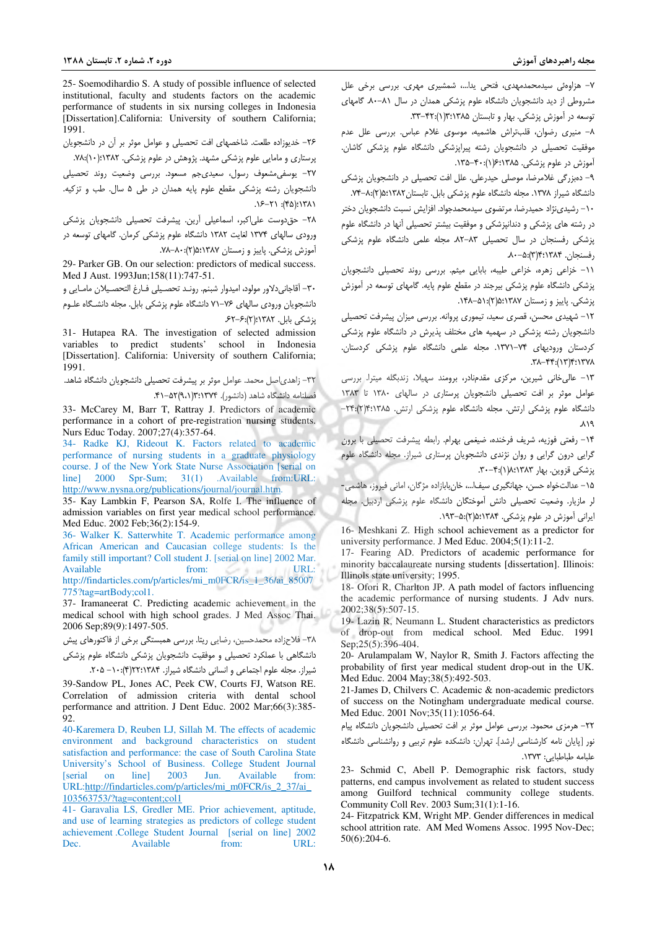25- Soemodihardio S. A study of possible influence of selected institutional, faculty and students factors on the academic performance of students in six nursing colleges in Indonesia [Dissertation].California: University of southern California; 1991.

٢۶- خدیوزاده طلعت. شاخصهای افت تحصیلی و عوامل موثر بر آن در دانشجویان یرستاری و مامایی علوم پزشکی مشهد. پژوهش در علوم پزشکی. ۲۸۲:(۰۰):۱۲۸۲.

٢٧- يوسفى مشعوف رسول، سعيدىجم مسعود. بررسى وضعيت روند تحصيلى دانشجویان رشته پزشکی مقطع علوم پایه همدان در طی ۵ سال. طب و تزکیه. ٢٨٦١: (۴۵): ٢١-١۶.

٢٨- حق دوست على اكبر، اسماعيلي أرين. پيشرفت تحصيلي دانشجويان پزشكي ورودی سالهای ۱۳۷۴ لغایت ۱۳۸۲ دانشگاه علوم پزشکی کرمان. گامهای توسعه در آموزش یزشکی. پاییز و زمستان ۱۳۸۷:۵:۱(۲):۸۰-۰۸.

29- Parker GB. On our selection: predictors of medical success. Med J Aust. 1993Jun;158(11):747-51.

٣٠- آقاجاني دلاور مولود، اميدوار شبنم. رونـد تحصـيلي فـارغ التحصـيلان مامـايي و دانشجویان ورودی سالهای ۷۶–۷۱ دانشگاه علوم پزشکی بابل. مجله دانشـگاه علـوم یز شکے , بابل . ١٣٨٢؛ (٢): ۶۲–۶۲.

31- Hutapea RA. The investigation of selected admission variables to predict students' school in Indonesia [Dissertation]. California: University of southern California; 1991.

٣٢- زاهدي|صل محمد. عوامل موثر بر پيشرفت تحصيلي دانشجويان دانشگاه شاهد. فصلنامه دانشگاه شاهد (دانشور). ۱۳۷۴:۱۳(۹،۱)۵۲–۴۱.

33- McCarey M, Barr T, Rattray J. Predictors of academic performance in a cohort of pre-registration nursing students. Nurs Educ Today. 2007;27(4):357-64.

34- Radke KJ, Rideout K. Factors related to academic performance of nursing students in a graduate physiology course. J of the New York State Nurse Association [serial on line] 2000 Spr-Sum; 31(1) .Available from:URL: http://www.nysna.org/publications/journal/journal.htm.

35- Kay Lambkin F, Pearson SA, Rolfe I. The influence of admission variables on first year medical school performance. Med Educ. 2002 Feb;36(2):154-9.

36- Walker K. Satterwhite T. Academic performance among African American and Caucasian college students: Is the family still important? Coll student J. [serial on line] 2002 Mar. Available from: URL: http://findarticles.com/p/articles/mi\_m0FCR/is\_1\_36/ai\_85007

 $775$ ?tag=artBody:col1.

37- Iramaneerat C. Predicting academic achievement in the medical school with high school grades. J Med Assoc Thai. 2006 Sep;89(9):1497-505.

٣٨- فلاحزاده محمدحسين، رضايي ريتا. بررسي همبستگي برخي از فاكتورهاي پيش دانشگاهی با عملکرد تحصیلی و موفقیت دانشجویان پزشکی دانشگاه علوم پزشکی

شیراز. مجله علوم اجتماعی و انسانی دانشگاه شیراز. ۲۲:۱۳۸۴(۴): ۰۱- ۲۰۵.

39-Sandow PL, Jones AC, Peek CW, Courts FJ, Watson RE. Correlation of admission criteria with dental school performance and attrition. J Dent Educ. 2002 Mar;66(3):385-92.

40-Karemera D, Reuben LJ, Sillah M. The effects of academic environment and background characteristics on student satisfaction and performance: the case of South Carolina State University's School of Business. College Student Journal  $line]$  2003 Jun. Available from: **Serial** on URL:http://findarticles.com/p/articles/mi\_m0FCR/is\_2\_37/ai\_ 103563753/?tag=content;col1

41- Garavalia LS, Gredler ME. Prior achievement, aptitude, and use of learning strategies as predictors of college student achievement.College Student Journal [serial on line] 2002 Available from:  $IIRI:$ Dec.

٧- هزاوهئي سيدمحمدمهدي، فتحي يدا...، شمشيري مهري. بررسي برخي علل مشروطی از دید دانشجویان دانشگاه علوم پزشکی همدان در سال ۸۱–۸۰ گامهای توسعه در آموزش پزشکی، بهار و تابستان ۱۳:۱۳۸۵(۰):۴۲-۳۳.

٨- منيري رضوان، قلبتراش هاشميه، موسوى غلام عباس. بررسى علل عدم موفقیت تحصیلی در دانشجویان رشته پیراپزشکی دانشگاه علوم پزشکی کاشان. آموزش در علوم پزشکی. ۱۳۸۵:۶:۱۳۵-۱۳۵.

۹– دهبزرگی غلامرضا، موصلی حیدرعلی. علل افت تحصیلی در دانشجویان پزشکی دانشگاه شیراز ۱۳۷۸. مجله دانشگاه علوم پزشکی بابل. تابستان ۵:۱۳۸۲(۲):۸-۷۴.

١٠- رشيدى نژاد حميدرضا، مرتضوى سيدمحمدجواد. افزايش نسبت دانشجويان دختر در رشته های پزشکی و دندانپزشکی و موفقیت بیشتر تحصیلی آنها در دانشگاه علوم پزشکی رفسنجان در سال تحصیلی ۸۳–۸۲. مجله علمی دانشگاه علوم پزشکی , فسنجان. ۰٫۴:۱۳۸۴):۵۰–۸۰.

١١- خزاعى زهره، خزاعى طيبه، بابايى ميثم. بررسى روند تحصيلى دانشجويان پزشکی دانشگاه علوم پزشکی بیرجند در مقطع علوم پایه. گامهای توسعه در آموزش پزشکی. پاییز و زمستان ۱۳۸۷:۵(۲):۵۱-۱۴۸.

١٢- شهيدى محسن، قصرى سعيد، تيمورى پروانه. بررسى ميزان پيشرفت تحصيلى دانشجویان رشته پزشکی در سهمیه های مختلف پذیرش در دانشگاه علوم پزشکی کردستان ورودیهای ۷۴–۱۳۷۱. مجله علمی دانشگاه علوم پزشکی کردستان.  $\mathcal{N}(\mathcal{X})$  /  $\mathcal{X}(\mathcal{X})$ 

١٣- عالى خانى شيرين، مركزى مقدمنادر، برومند سهيلا، زندبكله ميترا. بررسى عوامل موثر بر افت تحصیلی دانشجویان پرستاری در سالهای ١٣٨٠ تا ١٣٨٣ دانشگاه علوم بزشکی ارتش. محله دانشگاه علوم بزشکی ارتش. ۲۴:۱۳۸۵(۲):۲۴: ۸۱۹

١۴- رفعتي فوزيه، شريف فرخنده، ضيغمي بهرام. رابطه پيشرفت تحصيلي با برون گرایی درون گرایی و روان نژندی دانشجویان پرستاری شیراز. مجله دانشگاه علوم پزشکی قزوین. بهار ۸:۱۳۸۳):۴-۳۰.

١۵- عدالتخواه حسن، جهانگیری سیفا...، خانبابازاده مژگان، امانی فیروز، هاشمی-

لر مازیار. وضعیت تحصیلی دانش آموختگان دانشگاه علوم پزشکی اردبیل. مجله ایرانی آموزش در علوم پزشکی. ۱۳۸۴:۵(۲):۵-۱۹۳.

16- Meshkani Z. High school achievement as a predictor for university performance. J Med Educ. 2004;5(1):11-2.

17- Fearing AD. Predictors of academic performance for minority baccalaureate nursing students [dissertation]. Illinois: Illinols state university; 1995.

18- Ofori R, Charlton JP. A path model of factors influencing the academic performance of nursing students. J Adv nurs. 2002;38(5):507-15.

19- Lazin R, Neumann L. Student characteristics as predictors of drop-out from medical school. Med Educ. 1991 Sep;25(5):396-404.

20- Arulampalam W, Naylor R, Smith J. Factors affecting the probability of first year medical student drop-out in the UK. Med Educ. 2004 May;38(5):492-503.

21-James D, Chilvers C. Academic & non-academic predictors of success on the Notingham undergraduate medical course. Med Educ. 2001 Nov;35(11):1056-64.

٢٢- هرمزى محمود. بررسى عوامل موثر بر افت تحصيلى دانشجويان دانشگاه پيام نور [پایان نامه کارشناسی ارشد]. تهران: دانشکده علوم تربیی و روانشناسی دانشگاه علىامه طباطيات: ١٣٧٣.

23- Schmid C, Abell P. Demographic risk factors, study patterns, end campus involvement as related to student success among Guilford technical community college students. Community Coll Rev. 2003 Sum;31(1):1-16.

24- Fitzpatrick KM, Wright MP. Gender differences in medical school attrition rate. AM Med Womens Assoc. 1995 Nov-Dec;  $50(6):204-6.$